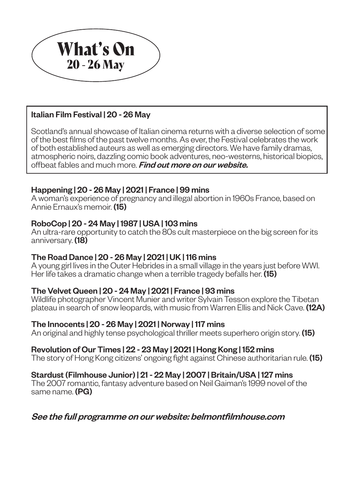

Scotland's annual showcase of Italian cinema returns with a diverse selection of some of the best films of the past twelve months. As ever, the Festival celebrates the work of both established auteurs as well as emerging directors. We have family dramas, atmospheric noirs, dazzling comic book adventures, neo-westerns, historical biopics, offbeat fables and much more. Find out more on our website.

## Italian Film Festival | 20 - 26 May

A young girl lives in the Outer Hebrides in a small village in the years just before WWI. Her life takes a dramatic change when a terrible tragedy befalls her. (15)

## Happening | 20 - 26 May | 2021 | France | 99 mins

A woman's experience of pregnancy and illegal abortion in 1960s France, based on Annie Ernaux's memoir. (15)

## RoboCop | 20 - 24 May | 1987 | USA | 103 mins

An ultra-rare opportunity to catch the 80s cult masterpiece on the big screen for its anniversary. (18)

The 2007 romantic, fantasy adventure based on Neil Gaiman's 1999 novel of the same name. (PG)

## The Road Dance | 20 - 26 May | 2021 | UK | 116 mins

## The Velvet Queen | 20 - 24 May | 2021 | France | 93 mins

Wildlife photographer Vincent Munier and writer Sylvain Tesson explore the Tibetan plateau in search of snow leopards, with music from Warren Ellis and Nick Cave. (12A)

## The Innocents | 20 - 26 May | 2021 | Norway | 117 mins

An original and highly tense psychological thriller meets superhero origin story. (15)

## Revolution of Our Times | 22 - 23 May | 2021 | Hong Kong | 152 mins

The story of Hong Kong citizens' ongoing fight against Chinese authoritarian rule. **(15)** 

### Stardust (Filmhouse Junior) | 21 - 22 May | 2007 | Britain/USA | 127 mins

See the full programme on our website: belmontfilmhouse.com